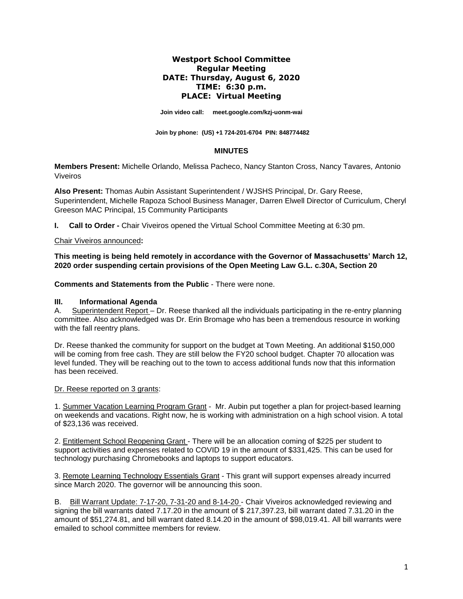### **Westport School Committee Regular Meeting DATE: Thursday, August 6, 2020 TIME: 6:30 p.m. PLACE: Virtual Meeting**

**Join video call: [meet.google.com/kzj-uonm-wai](https://meet.google.com/kzj-uonm-wai)**

 **Join by phone: (US) +1 724-201-6704 PIN: 848774482**

#### **MINUTES**

**Members Present:** Michelle Orlando, Melissa Pacheco, Nancy Stanton Cross, Nancy Tavares*,* Antonio Viveiros

**Also Present:** Thomas Aubin Assistant Superintendent / WJSHS Principal, Dr. Gary Reese, Superintendent, Michelle Rapoza School Business Manager, Darren Elwell Director of Curriculum, Cheryl Greeson MAC Principal, 15 Community Participants

**I. Call to Order -** Chair Viveiros opened the Virtual School Committee Meeting at 6:30 pm.

#### Chair Viveiros announced**:**

**This meeting is being held remotely in accordance with the Governor of Massachusetts' March 12, 2020 order suspending certain provisions of the Open Meeting Law G.L. c.30A, Section 20**

**Comments and Statements from the Public** - There were none.

#### **III. Informational Agenda**

A. Superintendent Report – Dr. Reese thanked all the individuals participating in the re-entry planning committee. Also acknowledged was Dr. Erin Bromage who has been a tremendous resource in working with the fall reentry plans.

Dr. Reese thanked the community for support on the budget at Town Meeting. An additional \$150,000 will be coming from free cash. They are still below the FY20 school budget. Chapter 70 allocation was level funded. They will be reaching out to the town to access additional funds now that this information has been received.

#### Dr. Reese reported on 3 grants:

1. Summer Vacation Learning Program Grant - Mr. Aubin put together a plan for project-based learning on weekends and vacations. Right now, he is working with administration on a high school vision. A total of \$23,136 was received.

2. Entitlement School Reopening Grant - There will be an allocation coming of \$225 per student to support activities and expenses related to COVID 19 in the amount of \$331,425. This can be used for technology purchasing Chromebooks and laptops to support educators.

3. Remote Learning Technology Essentials Grant - This grant will support expenses already incurred since March 2020. The governor will be announcing this soon.

B. Bill Warrant Update: 7-17-20, 7-31-20 and 8-14-20 - Chair Viveiros acknowledged reviewing and signing the bill warrants dated 7.17.20 in the amount of \$ 217,397.23, bill warrant dated 7.31.20 in the amount of \$51,274.81, and bill warrant dated 8.14.20 in the amount of \$98,019.41. All bill warrants were emailed to school committee members for review.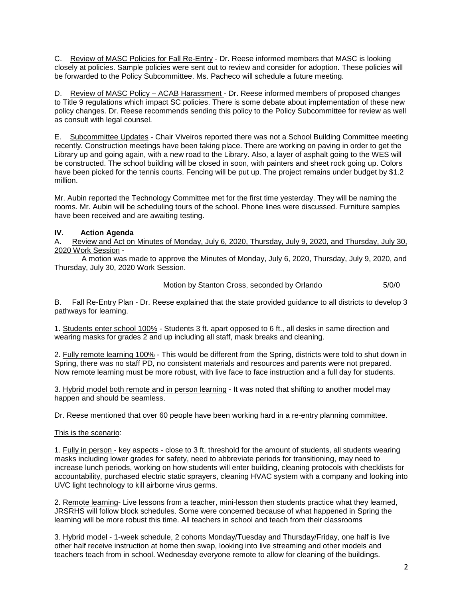C. Review of MASC Policies for Fall Re-Entry - Dr. Reese informed members that MASC is looking closely at policies. Sample policies were sent out to review and consider for adoption. These policies will be forwarded to the Policy Subcommittee. Ms. Pacheco will schedule a future meeting.

D. Review of MASC Policy – ACAB Harassment - Dr. Reese informed members of proposed changes to Title 9 regulations which impact SC policies. There is some debate about implementation of these new policy changes. Dr. Reese recommends sending this policy to the Policy Subcommittee for review as well as consult with legal counsel.

E. Subcommittee Updates - Chair Viveiros reported there was not a School Building Committee meeting recently. Construction meetings have been taking place. There are working on paving in order to get the Library up and going again, with a new road to the Library. Also, a layer of asphalt going to the WES will be constructed. The school building will be closed in soon, with painters and sheet rock going up. Colors have been picked for the tennis courts. Fencing will be put up. The project remains under budget by \$1.2 million.

Mr. Aubin reported the Technology Committee met for the first time yesterday. They will be naming the rooms. Mr. Aubin will be scheduling tours of the school. Phone lines were discussed. Furniture samples have been received and are awaiting testing.

# **IV. Action Agenda**

A. Review and Act on Minutes of Monday, July 6, 2020, Thursday, July 9, 2020, and Thursday, July 30, 2020 Work Session -

A motion was made to approve the Minutes of Monday, July 6, 2020, Thursday, July 9, 2020, and Thursday, July 30, 2020 Work Session.

Motion by Stanton Cross, seconded by Orlando 5/0/0

B. Fall Re-Entry Plan - Dr. Reese explained that the state provided guidance to all districts to develop 3 pathways for learning.

1. Students enter school 100% - Students 3 ft. apart opposed to 6 ft., all desks in same direction and wearing masks for grades 2 and up including all staff, mask breaks and cleaning.

2. Fully remote learning 100% - This would be different from the Spring, districts were told to shut down in Spring, there was no staff PD, no consistent materials and resources and parents were not prepared. Now remote learning must be more robust, with live face to face instruction and a full day for students.

3. Hybrid model both remote and in person learning - It was noted that shifting to another model may happen and should be seamless.

Dr. Reese mentioned that over 60 people have been working hard in a re-entry planning committee.

## This is the scenario:

1. Fully in person - key aspects - close to 3 ft. threshold for the amount of students, all students wearing masks including lower grades for safety, need to abbreviate periods for transitioning, may need to increase lunch periods, working on how students will enter building, cleaning protocols with checklists for accountability, purchased electric static sprayers, cleaning HVAC system with a company and looking into UVC light technology to kill airborne virus germs.

2. Remote learning- Live lessons from a teacher, mini-lesson then students practice what they learned, JRSRHS will follow block schedules. Some were concerned because of what happened in Spring the learning will be more robust this time. All teachers in school and teach from their classrooms

3. Hybrid model - 1-week schedule, 2 cohorts Monday/Tuesday and Thursday/Friday, one half is live other half receive instruction at home then swap, looking into live streaming and other models and teachers teach from in school. Wednesday everyone remote to allow for cleaning of the buildings.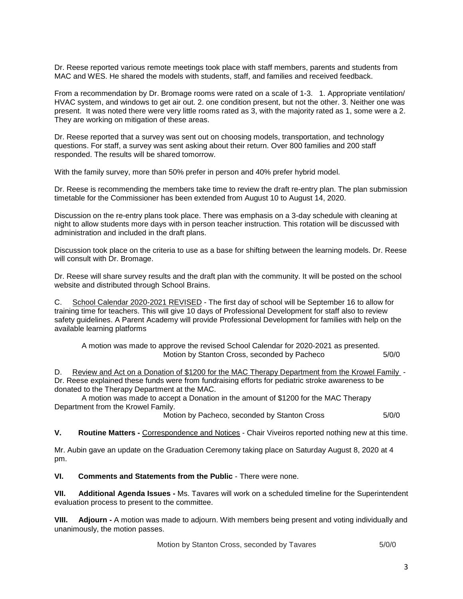Dr. Reese reported various remote meetings took place with staff members, parents and students from MAC and WES. He shared the models with students, staff, and families and received feedback.

From a recommendation by Dr. Bromage rooms were rated on a scale of 1-3. 1. Appropriate ventilation/ HVAC system, and windows to get air out. 2. one condition present, but not the other. 3. Neither one was present. It was noted there were very little rooms rated as 3, with the majority rated as 1, some were a 2. They are working on mitigation of these areas.

Dr. Reese reported that a survey was sent out on choosing models, transportation, and technology questions. For staff, a survey was sent asking about their return. Over 800 families and 200 staff responded. The results will be shared tomorrow.

With the family survey, more than 50% prefer in person and 40% prefer hybrid model.

Dr. Reese is recommending the members take time to review the draft re-entry plan. The plan submission timetable for the Commissioner has been extended from August 10 to August 14, 2020.

Discussion on the re-entry plans took place. There was emphasis on a 3-day schedule with cleaning at night to allow students more days with in person teacher instruction. This rotation will be discussed with administration and included in the draft plans.

Discussion took place on the criteria to use as a base for shifting between the learning models. Dr. Reese will consult with Dr. Bromage.

Dr. Reese will share survey results and the draft plan with the community. It will be posted on the school website and distributed through School Brains.

C. School Calendar 2020-2021 REVISED - The first day of school will be September 16 to allow for training time for teachers. This will give 10 days of Professional Development for staff also to review safety guidelines. A Parent Academy will provide Professional Development for families with help on the available learning platforms

A motion was made to approve the revised School Calendar for 2020-2021 as presented. Motion by Stanton Cross, seconded by Pacheco 5/0/0

D. Review and Act on a Donation of \$1200 for the MAC Therapy Department from the Krowel Family - Dr. Reese explained these funds were from fundraising efforts for pediatric stroke awareness to be donated to the Therapy Department at the MAC.

A motion was made to accept a Donation in the amount of \$1200 for the MAC Therapy Department from the Krowel Family.

Motion by Pacheco, seconded by Stanton Cross 5/0/0

**V. Routine Matters -** Correspondence and Notices - Chair Viveiros reported nothing new at this time.

Mr. Aubin gave an update on the Graduation Ceremony taking place on Saturday August 8, 2020 at 4 pm.

**VI. Comments and Statements from the Public** - There were none.

**VII. Additional Agenda Issues -** Ms. Tavares will work on a scheduled timeline for the Superintendent evaluation process to present to the committee.

**VIII. Adjourn -** A motion was made to adjourn. With members being present and voting individually and unanimously, the motion passes.

**Motion by Stanton Cross, seconded by Tavares 6/0/0**